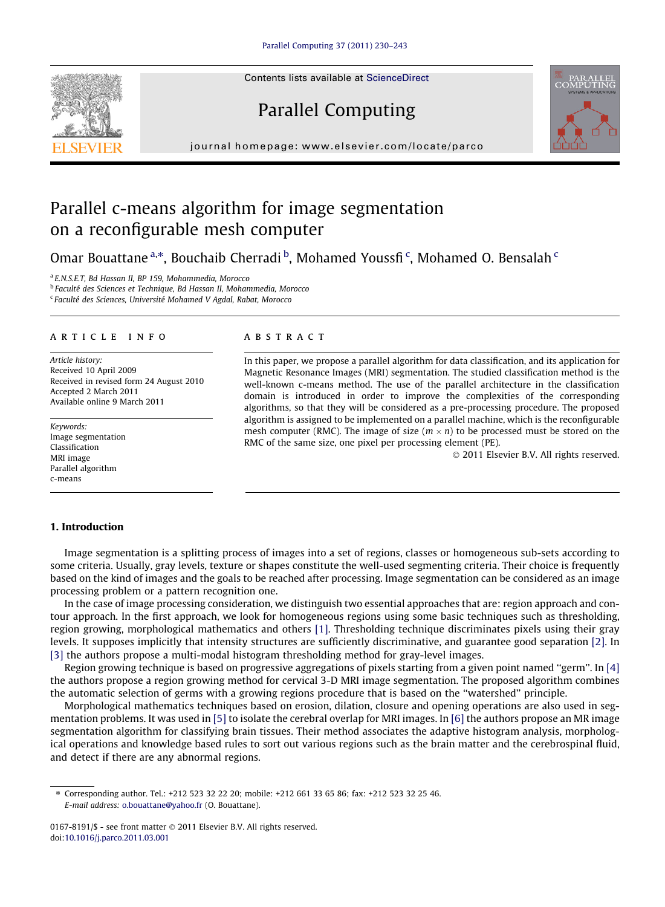Contents lists available at [ScienceDirect](http://www.sciencedirect.com/science/journal/01678191)

# Parallel Computing



journal homepage: [www.elsevier.com/locate/parco](http://www.elsevier.com/locate/parco)

## Parallel c-means algorithm for image segmentation on a reconfigurable mesh computer

Omar Bouattane<sup>a,\*</sup>, Bouchaib Cherradi <sup>b</sup>, Mohamed Youssfi<sup>c</sup>, Mohamed O. Bensalah <sup>c</sup>

<sup>a</sup> E.N.S.E.T, Bd Hassan II, BP 159, Mohammedia, Morocco

<sup>b</sup> Faculté des Sciences et Technique, Bd Hassan II, Mohammedia, Morocco

<sup>c</sup> Faculté des Sciences, Université Mohamed V Agdal, Rabat, Morocco

## article info

Article history: Received 10 April 2009 Received in revised form 24 August 2010 Accepted 2 March 2011 Available online 9 March 2011

Keywords: Image segmentation Classification MRI image Parallel algorithm c-means

#### **ABSTRACT**

In this paper, we propose a parallel algorithm for data classification, and its application for Magnetic Resonance Images (MRI) segmentation. The studied classification method is the well-known c-means method. The use of the parallel architecture in the classification domain is introduced in order to improve the complexities of the corresponding algorithms, so that they will be considered as a pre-processing procedure. The proposed algorithm is assigned to be implemented on a parallel machine, which is the reconfigurable mesh computer (RMC). The image of size  $(m \times n)$  to be processed must be stored on the RMC of the same size, one pixel per processing element (PE).

- 2011 Elsevier B.V. All rights reserved.

## 1. Introduction

Image segmentation is a splitting process of images into a set of regions, classes or homogeneous sub-sets according to some criteria. Usually, gray levels, texture or shapes constitute the well-used segmenting criteria. Their choice is frequently based on the kind of images and the goals to be reached after processing. Image segmentation can be considered as an image processing problem or a pattern recognition one.

In the case of image processing consideration, we distinguish two essential approaches that are: region approach and contour approach. In the first approach, we look for homogeneous regions using some basic techniques such as thresholding, region growing, morphological mathematics and others [\[1\].](#page-12-0) Thresholding technique discriminates pixels using their gray levels. It supposes implicitly that intensity structures are sufficiently discriminative, and guarantee good separation [\[2\]](#page-12-0). In [\[3\]](#page-12-0) the authors propose a multi-modal histogram thresholding method for gray-level images.

Region growing technique is based on progressive aggregations of pixels starting from a given point named ''germ''. In [\[4\]](#page-12-0) the authors propose a region growing method for cervical 3-D MRI image segmentation. The proposed algorithm combines the automatic selection of germs with a growing regions procedure that is based on the ''watershed'' principle.

Morphological mathematics techniques based on erosion, dilation, closure and opening operations are also used in segmentation problems. It was used in [\[5\]](#page-12-0) to isolate the cerebral overlap for MRI images. In [\[6\]](#page-12-0) the authors propose an MR image segmentation algorithm for classifying brain tissues. Their method associates the adaptive histogram analysis, morphological operations and knowledge based rules to sort out various regions such as the brain matter and the cerebrospinal fluid, and detect if there are any abnormal regions.

0167-8191/\$ - see front matter © 2011 Elsevier B.V. All rights reserved. doi[:10.1016/j.parco.2011.03.001](http://dx.doi.org/10.1016/j.parco.2011.03.001)



<sup>⇑</sup> Corresponding author. Tel.: +212 523 32 22 20; mobile: +212 661 33 65 86; fax: +212 523 32 25 46. E-mail address: [o.bouattane@yahoo.fr](mailto:o.bouattane@yahoo.fr) (O. Bouattane).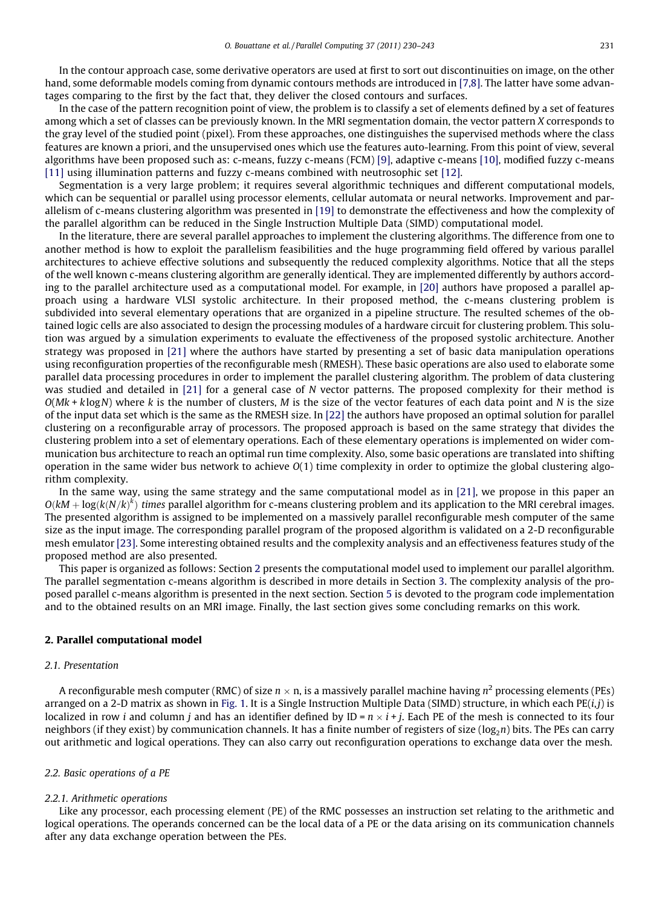In the contour approach case, some derivative operators are used at first to sort out discontinuities on image, on the other hand, some deformable models coming from dynamic contours methods are introduced in [\[7,8\]](#page-12-0). The latter have some advantages comparing to the first by the fact that, they deliver the closed contours and surfaces.

In the case of the pattern recognition point of view, the problem is to classify a set of elements defined by a set of features among which a set of classes can be previously known. In the MRI segmentation domain, the vector pattern X corresponds to the gray level of the studied point (pixel). From these approaches, one distinguishes the supervised methods where the class features are known a priori, and the unsupervised ones which use the features auto-learning. From this point of view, several algorithms have been proposed such as: c-means, fuzzy c-means (FCM) [\[9\],](#page-12-0) adaptive c-means [\[10\]](#page-12-0), modified fuzzy c-means [\[11\]](#page-12-0) using illumination patterns and fuzzy c-means combined with neutrosophic set [\[12\]](#page-12-0).

Segmentation is a very large problem; it requires several algorithmic techniques and different computational models, which can be sequential or parallel using processor elements, cellular automata or neural networks. Improvement and parallelism of c-means clustering algorithm was presented in [\[19\]](#page-13-0) to demonstrate the effectiveness and how the complexity of the parallel algorithm can be reduced in the Single Instruction Multiple Data (SIMD) computational model.

In the literature, there are several parallel approaches to implement the clustering algorithms. The difference from one to another method is how to exploit the parallelism feasibilities and the huge programming field offered by various parallel architectures to achieve effective solutions and subsequently the reduced complexity algorithms. Notice that all the steps of the well known c-means clustering algorithm are generally identical. They are implemented differently by authors according to the parallel architecture used as a computational model. For example, in [\[20\]](#page-13-0) authors have proposed a parallel approach using a hardware VLSI systolic architecture. In their proposed method, the c-means clustering problem is subdivided into several elementary operations that are organized in a pipeline structure. The resulted schemes of the obtained logic cells are also associated to design the processing modules of a hardware circuit for clustering problem. This solution was argued by a simulation experiments to evaluate the effectiveness of the proposed systolic architecture. Another strategy was proposed in [\[21\]](#page-13-0) where the authors have started by presenting a set of basic data manipulation operations using reconfiguration properties of the reconfigurable mesh (RMESH). These basic operations are also used to elaborate some parallel data processing procedures in order to implement the parallel clustering algorithm. The problem of data clustering was studied and detailed in [\[21\]](#page-13-0) for a general case of N vector patterns. The proposed complexity for their method is  $O(Mk + k \log N)$  where k is the number of clusters, M is the size of the vector features of each data point and N is the size of the input data set which is the same as the RMESH size. In [\[22\]](#page-13-0) the authors have proposed an optimal solution for parallel clustering on a reconfigurable array of processors. The proposed approach is based on the same strategy that divides the clustering problem into a set of elementary operations. Each of these elementary operations is implemented on wider communication bus architecture to reach an optimal run time complexity. Also, some basic operations are translated into shifting operation in the same wider bus network to achieve  $O(1)$  time complexity in order to optimize the global clustering algorithm complexity.

In the same way, using the same strategy and the same computational model as in [\[21\]](#page-13-0), we propose in this paper an  $O(kM+\log(k(N/k)^k)$  times parallel algorithm for c-means clustering problem and its application to the MRI cerebral images. The presented algorithm is assigned to be implemented on a massively parallel reconfigurable mesh computer of the same size as the input image. The corresponding parallel program of the proposed algorithm is validated on a 2-D reconfigurable mesh emulator [\[23\]](#page-13-0). Some interesting obtained results and the complexity analysis and an effectiveness features study of the proposed method are also presented.

This paper is organized as follows: Section 2 presents the computational model used to implement our parallel algorithm. The parallel segmentation c-means algorithm is described in more details in Section 3. The complexity analysis of the proposed parallel c-means algorithm is presented in the next section. Section 5 is devoted to the program code implementation and to the obtained results on an MRI image. Finally, the last section gives some concluding remarks on this work.

#### 2. Parallel computational model

#### 2.1. Presentation

A reconfigurable mesh computer (RMC) of size  $n\times n$ , is a massively parallel machine having  $n^2$  processing elements (PEs) arranged on a 2-D matrix as shown in [Fig. 1](#page-2-0). It is a Single Instruction Multiple Data (SIMD) structure, in which each PE $(i,j)$  is localized in row i and column j and has an identifier defined by ID =  $n \times i + j$ . Each PE of the mesh is connected to its four neighbors (if they exist) by communication channels. It has a finite number of registers of size ( $log_2 n$ ) bits. The PEs can carry out arithmetic and logical operations. They can also carry out reconfiguration operations to exchange data over the mesh.

#### 2.2. Basic operations of a PE

#### 2.2.1. Arithmetic operations

Like any processor, each processing element (PE) of the RMC possesses an instruction set relating to the arithmetic and logical operations. The operands concerned can be the local data of a PE or the data arising on its communication channels after any data exchange operation between the PEs.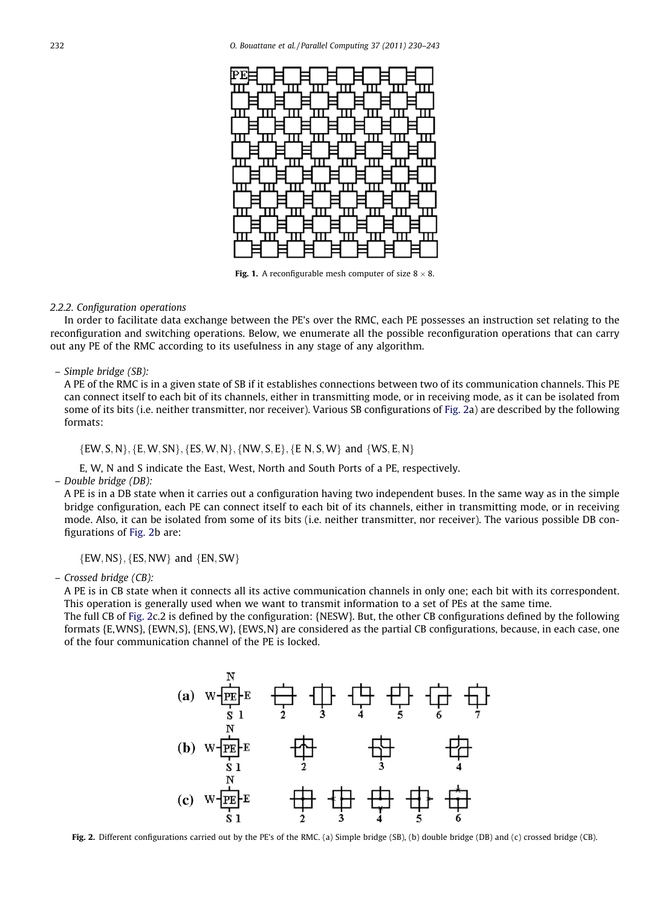<span id="page-2-0"></span>

**Fig. 1.** A reconfigurable mesh computer of size  $8 \times 8$ .

#### 2.2.2. Configuration operations

In order to facilitate data exchange between the PE's over the RMC, each PE possesses an instruction set relating to the reconfiguration and switching operations. Below, we enumerate all the possible reconfiguration operations that can carry out any PE of the RMC according to its usefulness in any stage of any algorithm.

– Simple bridge (SB):

A PE of the RMC is in a given state of SB if it establishes connections between two of its communication channels. This PE can connect itself to each bit of its channels, either in transmitting mode, or in receiving mode, as it can be isolated from some of its bits (i.e. neither transmitter, nor receiver). Various SB configurations of Fig. 2a) are described by the following formats:

 ${EW, S, N}, {E, W, SN}, {ES, W, N}, {NW, S, E}, {E, N, SW}$  and  ${WS, E, N}$ 

E, W, N and S indicate the East, West, North and South Ports of a PE, respectively.

## – Double bridge (DB):

A PE is in a DB state when it carries out a configuration having two independent buses. In the same way as in the simple bridge configuration, each PE can connect itself to each bit of its channels, either in transmitting mode, or in receiving mode. Also, it can be isolated from some of its bits (i.e. neither transmitter, nor receiver). The various possible DB configurations of Fig. 2b are:

 ${EW, NS}, {ES, NW}$  and  ${EN, SW}$ 

– Crossed bridge (CB):

A PE is in CB state when it connects all its active communication channels in only one; each bit with its correspondent. This operation is generally used when we want to transmit information to a set of PEs at the same time.

The full CB of Fig. 2c.2 is defined by the configuration: {NESW}. But, the other CB configurations defined by the following formats {E,WNS}, {EWN, S}, {ENS,W}, {EWS,N} are considered as the partial CB configurations, because, in each case, one of the four communication channel of the PE is locked.



Fig. 2. Different configurations carried out by the PE's of the RMC. (a) Simple bridge (SB), (b) double bridge (DB) and (c) crossed bridge (CB).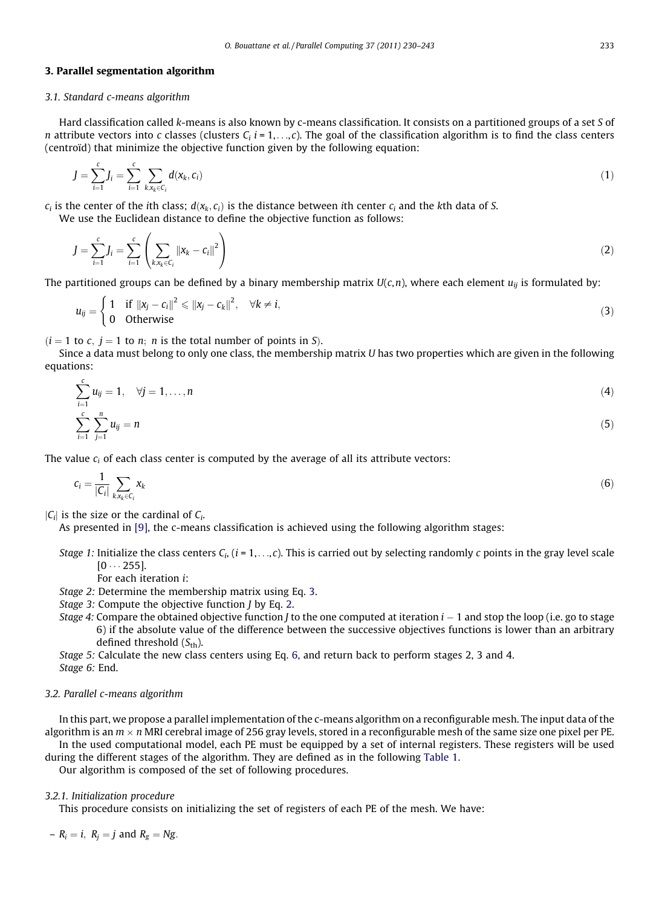## 3. Parallel segmentation algorithm

#### 3.1. Standard c-means algorithm

Hard classification called k-means is also known by c-means classification. It consists on a partitioned groups of a set S of n attribute vectors into c classes (clusters  $C_i$  i = 1,..., c). The goal of the classification algorithm is to find the class centers (centroïd) that minimize the objective function given by the following equation:

$$
J = \sum_{i=1}^{c} J_i = \sum_{k=1}^{c} \sum_{k,x_k \in C_i} d(x_k, c_i)
$$
 (1)

 $c_i$  is the center of the ith class;  $d(x_k, c_i)$  is the distance between ith center  $c_i$  and the kth data of S. We use the Euclidean distance to define the objective function as follows:

$$
J = \sum_{i=1}^{c} J_i = \sum_{i=1}^{c} \left( \sum_{k, x_k \in C_i} ||x_k - c_i||^2 \right)
$$
 (2)

The partitioned groups can be defined by a binary membership matrix  $U(c, n)$ , where each element  $u_{ij}$  is formulated by:

$$
u_{ij} = \begin{cases} 1 & \text{if } ||x_j - c_i||^2 \le ||x_j - c_k||^2, & \forall k \ne i, \\ 0 & \text{Otherwise} \end{cases}
$$
 (3)

 $(i = 1$  to c,  $j = 1$  to n; n is the total number of points in S).

Since a data must belong to only one class, the membership matrix U has two properties which are given in the following equations:

$$
\sum_{i=1}^{c} u_{ij} = 1, \quad \forall j = 1, ..., n
$$
\n
$$
\sum_{i=1}^{c} \sum_{j=1}^{n} u_{ij} = n
$$
\n(4)

The value  $c_i$  of each class center is computed by the average of all its attribute vectors:

$$
c_i = \frac{1}{|C_i|} \sum_{k, x_k \in C_i} x_k \tag{6}
$$

 $|C_i|$  is the size or the cardinal of  $C_i$ .

 $\epsilon$ 

As presented in [\[9\]](#page-12-0), the c-means classification is achieved using the following algorithm stages:

Stage 1: Initialize the class centers  $C_i$ ,  $(i = 1, \ldots, c)$ . This is carried out by selecting randomly c points in the gray level scale  $[0 \cdots 255]$ .

For each iteration i:

- Stage 2: Determine the membership matrix using Eq. 3.
- Stage 3: Compute the objective function *I* by Eq. 2.
- Stage 4: Compare the obtained objective function I to the one computed at iteration  $i 1$  and stop the loop (i.e. go to stage 6) if the absolute value of the difference between the successive objectives functions is lower than an arbitrary defined threshold  $(S_{th})$ .

Stage 5: Calculate the new class centers using Eq. 6, and return back to perform stages 2, 3 and 4. Stage 6: End.

#### 3.2. Parallel c-means algorithm

In this part, we propose a parallel implementation of the c-means algorithm on a reconfigurable mesh. The input data of the algorithm is an  $m\times n$  MRI cerebral image of 256 gray levels, stored in a reconfigurable mesh of the same size one pixel per PE. In the used computational model, each PE must be equipped by a set of internal registers. These registers will be used

during the different stages of the algorithm. They are defined as in the following [Table 1](#page-4-0).

Our algorithm is composed of the set of following procedures.

## 3.2.1. Initialization procedure

This procedure consists on initializing the set of registers of each PE of the mesh. We have:

–  $R_i = i$ ,  $R_i = j$  and  $R_g = Ng$ .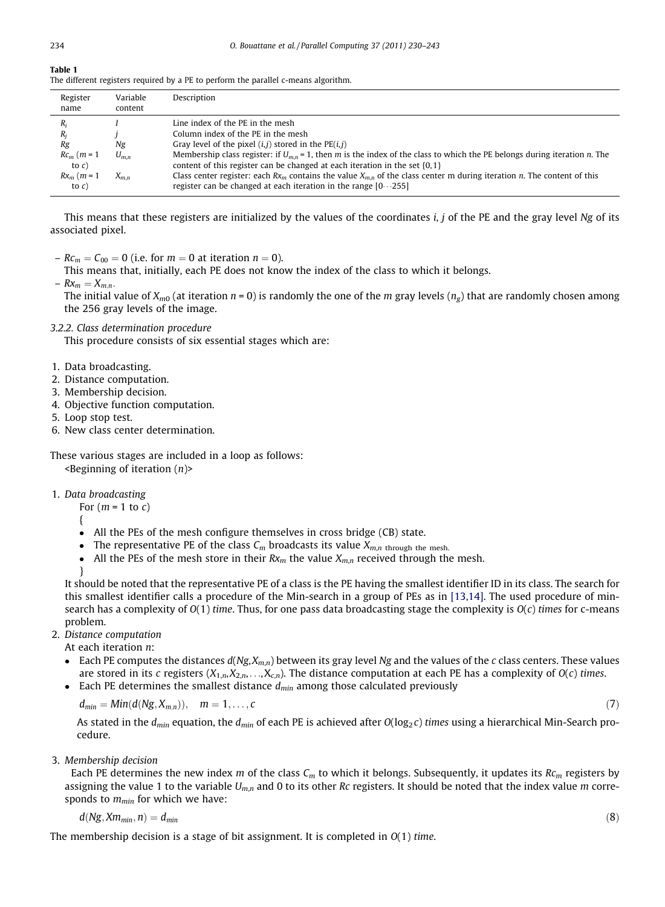<span id="page-4-0"></span>The different registers required by a PE to perform the parallel c-means algorithm.

| Register<br>name                                                                | Variable<br>content          | Description                                                                                                                                                                                                                                                                                                                                                                                                                                                                                                                                                        |
|---------------------------------------------------------------------------------|------------------------------|--------------------------------------------------------------------------------------------------------------------------------------------------------------------------------------------------------------------------------------------------------------------------------------------------------------------------------------------------------------------------------------------------------------------------------------------------------------------------------------------------------------------------------------------------------------------|
| $R_i$<br>$R_i$<br>Rg<br>$Rc_m$ ( $m=1$<br>to $c$ )<br>$Rx_m$ (m = 1<br>to $c$ ) | Ng<br>$U_{m,n}$<br>$X_{m,n}$ | Line index of the PE in the mesh<br>Column index of the PE in the mesh<br>Gray level of the pixel $(i, j)$ stored in the PE $(i, j)$<br>Membership class register: if $U_{mn} = 1$ , then m is the index of the class to which the PE belongs during iteration n. The<br>content of this register can be changed at each iteration in the set $\{0,1\}$<br>Class center register: each $Rx_m$ contains the value $X_{m,n}$ of the class center m during iteration n. The content of this<br>register can be changed at each iteration in the range $[0 \cdot 255]$ |

This means that these registers are initialized by the values of the coordinates *i*, *j* of the PE and the gray level Ng of its associated pixel.

–  $Rc_m = C_{00} = 0$  (i.e. for  $m = 0$  at iteration  $n = 0$ ).

This means that, initially, each PE does not know the index of the class to which it belongs.  $-Rx_m = X_{m,n}$ .

The initial value of  $X_{m0}$  (at iteration  $n = 0$ ) is randomly the one of the m gray levels  $(n_g)$  that are randomly chosen among the 256 gray levels of the image.

#### 3.2.2. Class determination procedure

This procedure consists of six essential stages which are:

- 1. Data broadcasting.
- 2. Distance computation.
- 3. Membership decision.
- 4. Objective function computation.
- 5. Loop stop test.
- 6. New class center determination.

These various stages are included in a loop as follows:  $\leq$ Beginning of iteration  $(n)$ 

## 1. Data broadcasting

- For  $(m = 1$  to  $c)$
- {
- All the PEs of the mesh configure themselves in cross bridge (CB) state.
- The representative PE of the class  $C_m$  broadcasts its value  $X_{m,n}$  through the mesh.
- All the PEs of the mesh store in their  $Rx_m$  the value  $X_{m,n}$  received through the mesh.
- }

It should be noted that the representative PE of a class is the PE having the smallest identifier ID in its class. The search for this smallest identifier calls a procedure of the Min-search in a group of PEs as in [\[13,14\]](#page-12-0). The used procedure of minsearch has a complexity of  $O(1)$  time. Thus, for one pass data broadcasting stage the complexity is  $O(c)$  times for c-means problem.

2. Distance computation

At each iteration n:

- Each PE computes the distances  $d(Ng, X_{m,n})$  between its gray level Ng and the values of the c class centers. These values are stored in its c registers  $(X_{1,n},X_{2,n},\ldots,X_{c,n})$ . The distance computation at each PE has a complexity of  $O(c)$  times.
- **Each PE determines the smallest distance**  $d_{min}$  **among those calculated previously**

 $d_{min} = Min(d(Ng, X_{m,n}))$ ,  $m = 1,...,c$  (7)

As stated in the  $d_{min}$  equation, the  $d_{min}$  of each PE is achieved after  $O(log_2 c)$  times using a hierarchical Min-Search procedure.

3. Membership decision

Each PE determines the new index m of the class  $C_m$  to which it belongs. Subsequently, it updates its  $Rc_m$  registers by assigning the value 1 to the variable  $U_{m,n}$  and 0 to its other Rc registers. It should be noted that the index value m corresponds to  $m_{min}$  for which we have:

$$
d(Ng, Xm_{min}, n) = d_{min} \tag{8}
$$

The membership decision is a stage of bit assignment. It is completed in  $O(1)$  time.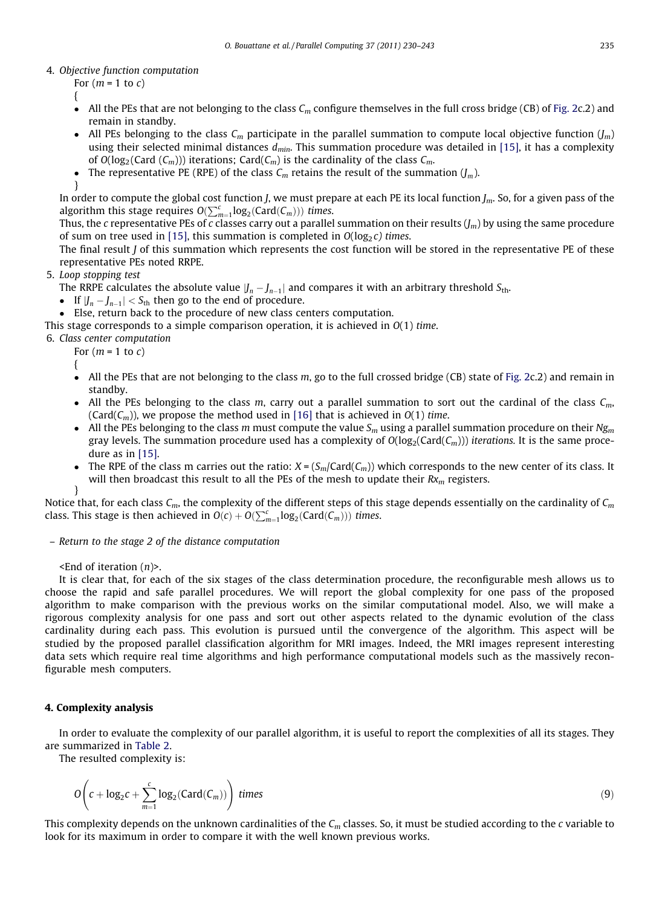## <span id="page-5-0"></span>4. Objective function computation

For  $(m = 1$  to  $c)$ 

- {
- All the PEs that are not belonging to the class  $C_m$  configure themselves in the full cross bridge (CB) of [Fig. 2](#page-2-0)c.2) and remain in standby.
- All PEs belonging to the class  $C_m$  participate in the parallel summation to compute local objective function  $(J_m)$ using their selected minimal distances  $d_{min}$ . This summation procedure was detailed in [\[15\],](#page-13-0) it has a complexity of  $O(log_2(Card(C_m)))$  iterations; Card $(C_m)$  is the cardinality of the class  $C_m$ .
- The representative PE (RPE) of the class  $C_m$  retains the result of the summation  $(J_m)$ .
- }

In order to compute the global cost function *J*, we must prepare at each PE its local function  $I_m$ . So, for a given pass of the algorithm this stage requires  $O(\sum_{m=1}^{c} \log_2(Card(C_m)))$  times.

Thus, the c representative PEs of c classes carry out a parallel summation on their results  $(J_m)$  by using the same procedure of sum on tree used in [\[15\]](#page-13-0), this summation is completed in  $O(log_2 c)$  times.

The final result *J* of this summation which represents the cost function will be stored in the representative PE of these representative PEs noted RRPE.

5. Loop stopping test

The RRPE calculates the absolute value  $|J_n - J_{n-1}|$  and compares it with an arbitrary threshold  $S_{\text{th}}$ .

- If  $|J_n J_{n-1}| < S_{\text{th}}$  then go to the end of procedure.
- Else, return back to the procedure of new class centers computation.

This stage corresponds to a simple comparison operation, it is achieved in  $O(1)$  time.

- 6. Class center computation
	- For  $(m = 1$  to  $c)$
	- {
	- $\bullet$  All the PEs that are not belonging to the class m, go to the full crossed bridge (CB) state of [Fig. 2](#page-2-0)c.2) and remain in standby.
	- All the PEs belonging to the class m, carry out a parallel summation to sort out the cardinal of the class  $C_m$ , (Card( $C_m$ )), we propose the method used in [\[16\]](#page-13-0) that is achieved in  $O(1)$  time.
	- All the PEs belonging to the class m must compute the value  $S_m$  using a parallel summation procedure on their  $Ng_m$ gray levels. The summation procedure used has a complexity of  $O(log_2(Card(C_m)))$  iterations. It is the same procedure as in [\[15\].](#page-13-0)
	- The RPE of the class m carries out the ratio:  $X = (S_m/Card(C_m))$  which corresponds to the new center of its class. It will then broadcast this result to all the PEs of the mesh to update their  $Rx_m$  registers. }

Notice that, for each class  $C_m$ , the complexity of the different steps of this stage depends essentially on the cardinality of  $C_m$ class. This stage is then achieved in  $O(c) + O(\sum_{m=1}^{c} \log_2(Card(C_m)))$  times.

– Return to the stage 2 of the distance computation

## $\epsilon$  = End of iteration  $(n)$ >.

It is clear that, for each of the six stages of the class determination procedure, the reconfigurable mesh allows us to choose the rapid and safe parallel procedures. We will report the global complexity for one pass of the proposed algorithm to make comparison with the previous works on the similar computational model. Also, we will make a rigorous complexity analysis for one pass and sort out other aspects related to the dynamic evolution of the class cardinality during each pass. This evolution is pursued until the convergence of the algorithm. This aspect will be studied by the proposed parallel classification algorithm for MRI images. Indeed, the MRI images represent interesting data sets which require real time algorithms and high performance computational models such as the massively reconfigurable mesh computers.

## 4. Complexity analysis

In order to evaluate the complexity of our parallel algorithm, it is useful to report the complexities of all its stages. They are summarized in [Table 2.](#page-6-0)

The resulted complexity is:

$$
O\left(c + \log_2 c + \sum_{m=1}^{c} \log_2(\text{Card}(C_m))\right) \text{ times} \tag{9}
$$

This complexity depends on the unknown cardinalities of the  $C_m$  classes. So, it must be studied according to the c variable to look for its maximum in order to compare it with the well known previous works.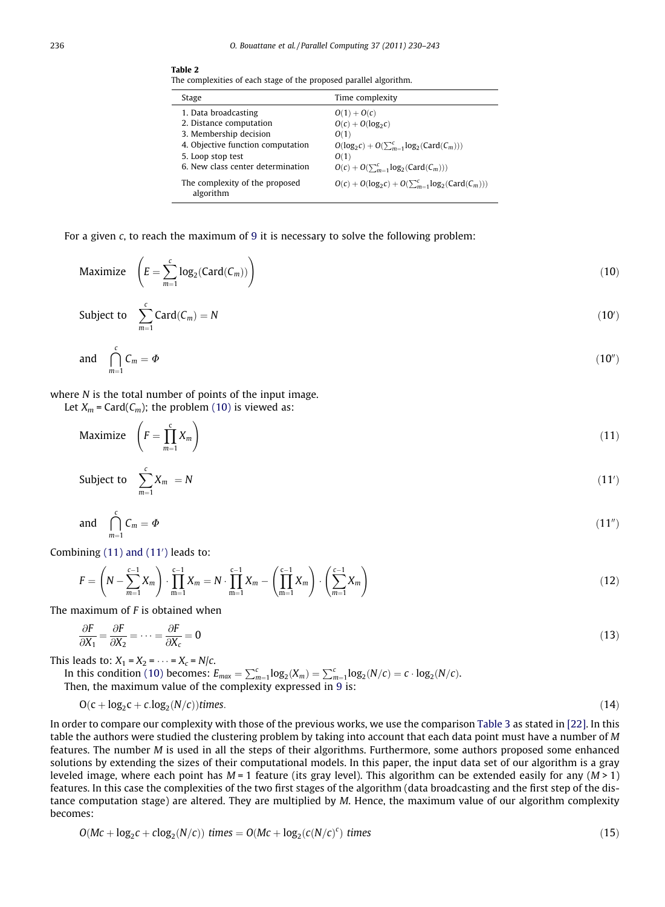<span id="page-6-0"></span>The complexities of each stage of the proposed parallel algorithm.

| Stage                                       | Time complexity                                          |
|---------------------------------------------|----------------------------------------------------------|
| 1. Data broadcasting                        | $O(1) + O(c)$                                            |
| 2. Distance computation                     | $O(c) + O(log_2 c)$                                      |
| 3. Membership decision                      | O(1)                                                     |
| 4. Objective function computation           | $O(log_2 c) + O(\sum_{m=1}^{c} log_2(Card(C_m)))$        |
| 5. Loop stop test                           | O(1)                                                     |
| 6. New class center determination           | $O(c) + O(\sum_{m=1}^{c} \log_2(Card(C_m)))$             |
| The complexity of the proposed<br>algorithm | $O(c) + O(log_2 c) + O(\sum_{m=1}^{c} log_2(Card(C_m)))$ |

For a given  $c$ , to reach the maximum of [9](#page-5-0) it is necessary to solve the following problem:

$$
\text{Maximize} \quad \left( E = \sum_{m=1}^{c} \log_2(\text{Card}(C_m)) \right) \tag{10}
$$

Subject to 
$$
\sum_{m=1}^{c} \text{Card}(C_m) = N
$$
 (10')

and 
$$
\bigcap_{m=1}^{c} C_m = \Phi
$$
 (10")

where N is the total number of points of the input image.

Let  $X_m = \text{Card}(C_m)$ ; the problem (10) is viewed as:

$$
\text{Maximize} \quad \left( F = \prod_{m=1}^{c} X_m \right) \tag{11}
$$

Subject to 
$$
\sum_{m=1}^{c} X_m = N
$$
 (11')

and 
$$
\bigcap_{m=1}^{c} C_m = \Phi
$$
 (11")

Combining  $(11)$  and  $(11')$  leads to:

$$
F = \left(N - \sum_{m=1}^{c-1} X_m\right) \cdot \prod_{m=1}^{c-1} X_m = N \cdot \prod_{m=1}^{c-1} X_m - \left(\prod_{m=1}^{c-1} X_m\right) \cdot \left(\sum_{m=1}^{c-1} X_m\right)
$$
(12)

The maximum of  $F$  is obtained when

$$
\frac{\partial F}{\partial X_1} = \frac{\partial F}{\partial X_2} = \dots = \frac{\partial F}{\partial X_c} = 0
$$
\n(13)

This leads to:  $X_1 = X_2 = \cdots = X_c = N/c$ .

In this condition (10) becomes:  $E_{max} = \sum_{m=1}^{c} \log_2(X_m) = \sum_{m=1}^{c} \log_2(N/c) = c \cdot \log_2(N/c)$ . Then, the maximum value of the complexity expressed in [9](#page-5-0) is:

$$
O(c + \log_2 c + c \cdot \log_2(N/c)) \text{times.} \tag{14}
$$

In order to compare our complexity with those of the previous works, we use the comparison [Table 3](#page-7-0) as stated in [\[22\].](#page-13-0) In this table the authors were studied the clustering problem by taking into account that each data point must have a number of M features. The number M is used in all the steps of their algorithms. Furthermore, some authors proposed some enhanced solutions by extending the sizes of their computational models. In this paper, the input data set of our algorithm is a gray leveled image, where each point has  $M = 1$  feature (its gray level). This algorithm can be extended easily for any  $(M > 1)$ features. In this case the complexities of the two first stages of the algorithm (data broadcasting and the first step of the distance computation stage) are altered. They are multiplied by M. Hence, the maximum value of our algorithm complexity becomes:

$$
O(Mc + \log_2 c + c \log_2(N/c)) \text{ times} = O(Mc + \log_2(c(N/c)^c) \text{ times}
$$
\n(15)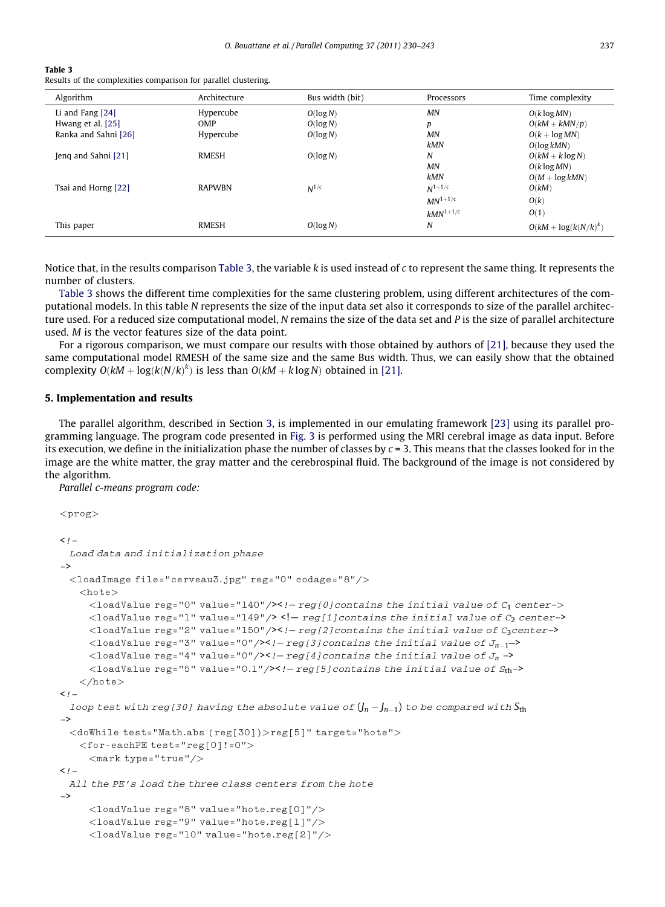<span id="page-7-0"></span>Results of the complexities comparison for parallel clustering.

| Algorithm            | Architecture  | Bus width (bit) | Processors    | Time complexity          |
|----------------------|---------------|-----------------|---------------|--------------------------|
| Li and Fang [24]     | Hypercube     | O(log N)        | <b>MN</b>     | $O(k \log MN)$           |
| Hwang et al. [25]    | OMP           | O(log N)        | p             | $O(kM + kMN/p)$          |
| Ranka and Sahni [26] | Hypercube     | O(log N)        | <b>MN</b>     | $O(k + \log MN)$         |
|                      |               |                 | kMN           | O(log kMN)               |
| Jeng and Sahni [21]  | <b>RMESH</b>  | O(log N)        | N             | $O(kM + k \log N)$       |
|                      |               |                 | <b>MN</b>     | $O(k \log MN)$           |
|                      |               |                 | kMN           | $O(M + \log kMN)$        |
| Tsai and Horng [22]  | <b>RAPWBN</b> | $N^{1/c}$       | $N^{1+1/c}$   | O(kM)                    |
|                      |               |                 | $MN^{1+1/c}$  | O(k)                     |
|                      |               |                 | $kMN^{1+1/c}$ | O(1)                     |
| This paper           | <b>RMESH</b>  | O(log N)        | N             | $O(kM + \log(k(N/k)^k))$ |

Notice that, in the results comparison Table 3, the variable k is used instead of c to represent the same thing. It represents the number of clusters.

Table 3 shows the different time complexities for the same clustering problem, using different architectures of the computational models. In this table N represents the size of the input data set also it corresponds to size of the parallel architecture used. For a reduced size computational model, N remains the size of the data set and P is the size of parallel architecture used. M is the vector features size of the data point.

For a rigorous comparison, we must compare our results with those obtained by authors of [\[21\]](#page-13-0), because they used the same computational model RMESH of the same size and the same Bus width. Thus, we can easily show that the obtained complexity  $O(kM + \log(k(N/k)^k)$  is less than  $O(kM + k\log N)$  obtained in [\[21\].](#page-13-0)

#### 5. Implementation and results

The parallel algorithm, described in Section 3, is implemented in our emulating framework [\[23\]](#page-13-0) using its parallel programming language. The program code presented in [Fig. 3](#page-8-0) is performed using the MRI cerebral image as data input. Before its execution, we define in the initialization phase the number of classes by  $c = 3$ . This means that the classes looked for in the image are the white matter, the gray matter and the cerebrospinal fluid. The background of the image is not considered by the algorithm.

Parallel c-means program code:

```
<prog>\langle! –
 Load data and initialization phase
–>
 <loadImage file="cerveau3.jpg" reg="0" codage="8"/>
   <hote>\langleloadValue reg="0" value="140"/><!- reg[0]contains the initial value of C_1 center->
     \langleloadValue reg="1" value="149"/> \langle - reg[1] contains the initial value of C_2 center->
     \langleloadValue reg="2" value="150"/><!- reg[2]contains the initial value of C3center->
     <loadValue reg="3" value="0"/><!- reg[3] contains the initial value of J_{n-1}->
     \langleloadValue reg="4" value="0"/><!- req[4]contains the initial value of J_n ->
     \langleloadValue reg="5" value="0.1"/><!- reg[5]contains the initial value of S_{\text{th}}->
   </hote>
\langle l -loop test with reg[30] having the absolute value of (J_n - J_{n-1}) to be compared with S_{th}–>
 <doWhile test="Math.abs (reg[30])>reg[5]" target="hote">
   <for-eachPE test="reg[0]!=0">
     <mark type="true"/>
\langle ! -All the PE's load the three class centers from the hote
–>
     <loadValue reg="8" value="hote.reg[0]"/>
     <loadValue reg="9" value="hote.reg[1]"/>
     <loadValue reg="10" value="hote.reg[2]"/>
```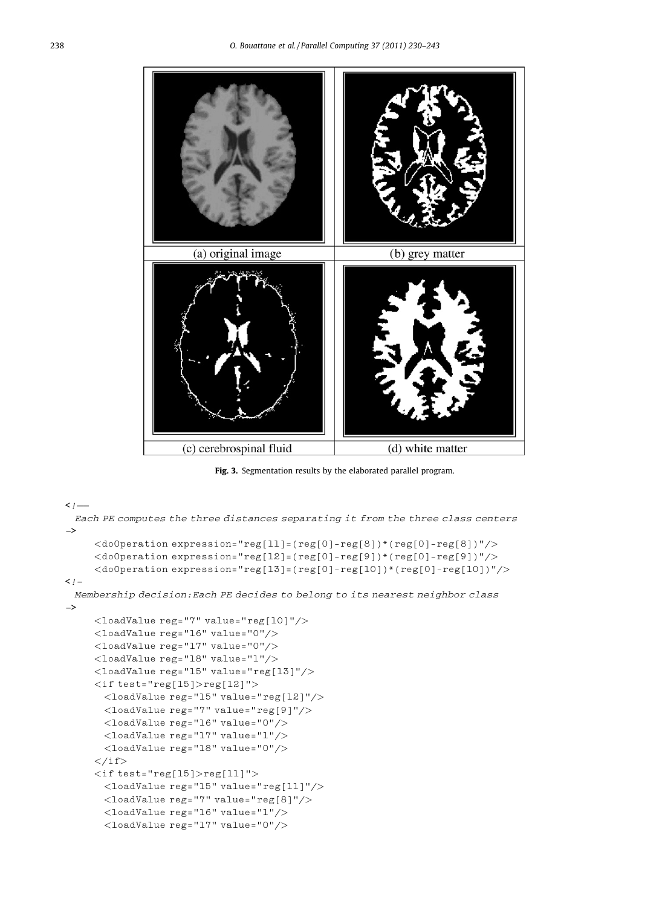<span id="page-8-0"></span>

Fig. 3. Segmentation results by the elaborated parallel program.

## $\leq$  ! —

Each PE computes the three distances separating it from the three class centers –>

```
<\!\!\texttt{doOperation}\xspace\texttt{expression}\xspace\texttt{=}\xspace\texttt{reg[11]} \xspace\texttt{=}\xspace\texttt{(reg[0]}\xspace\texttt{=reg[0]}\xspace\texttt{+reg[0]}\xspace\texttt{=reg[8]}\xspace\texttt{)}\xspace\texttt{''}\xspace/>\;\langledoOperation expression="reg[12]=(reg[0]-reg[9])*(reg[0]-reg[9])"/>
<doOperation expression="reg[13]=(reg[0]-reg[10])*(reg[0]-reg[10])"/>
```
## $\langle l -$

Membership decision:Each PE decides to belong to its nearest neighbor class

```
–>
```

```
<loadValue reg="7" value="reg[10]"/>
<loadValue reg="16" value="0"/>
<loadValue reg="17" value="0"/>
<loadValue reg="18" value="1"/>
<loadValue reg="15" value="reg[13]"/>
<if test="reg[15]>reg[12]">
 <loadValue reg="15" value="reg[12]"/>
 <loadValue reg="7" value="reg[9]"/>
 <loadValue reg="16" value="0"/>
 <loadValue reg="17" value="1"/>
 <loadValue reg="18" value="0"/>
\langleif>
<if test="reg[15]>reg[11]">
 <loadValue reg="15" value="reg[11]"/>
 <loadValue reg="7" value="reg[8]"/>
 <loadValue reg="16" value="1"/>
 <loadValue reg="17" value="0"/>
```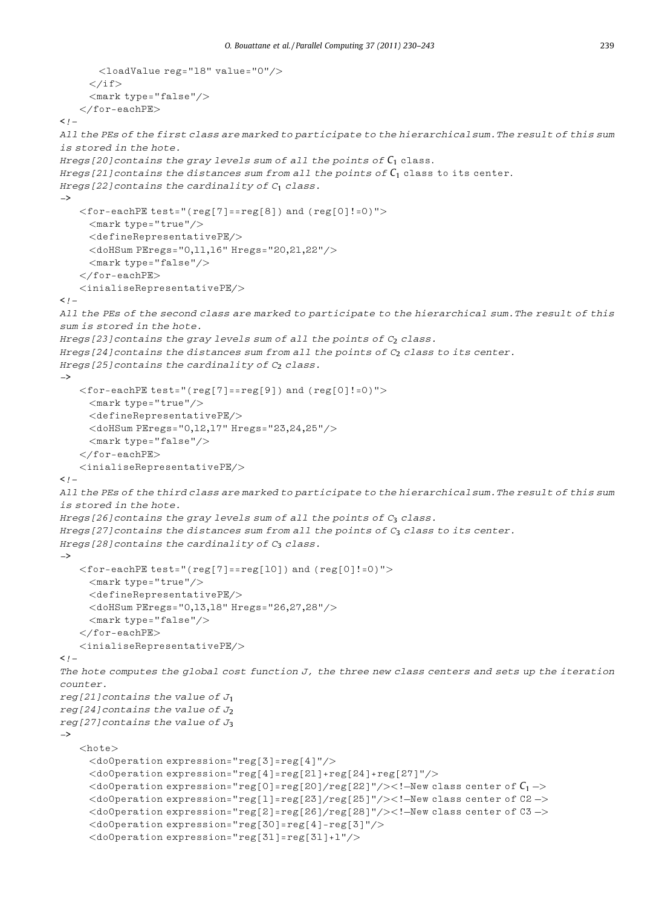```
<loadValue reg="18" value="0"/>
     \langleif>
     <mark type="false"/>
   </for-eachPE>
\langle ! -All the PEs of the first class are marked to participate to the hierarchicalsum.The result of this sum
is stored in the hote.
Hregs[20]contains the gray levels sum of all the points of C_1 class.
Hregs [21] contains the distances sum from all the points of C_1 class to its center.
Hregs [22] contains the cardinality of C_1 class.
–>
   <for-eachPE test="(reg[7]==reg[8]) and (reg[0]!=0)">
     <mark type="true"/>
     <defineRepresentativePE/>
     <doHSum PEregs="0,11,16" Hregs="20,21,22"/>
     <mark type="false"/>
   </for-eachPE>
   <inialiseRepresentativePE/>
\langle l -All the PEs of the second class are marked to participate to the hierarchical sum.The result of this
sum is stored in the hote.
Hregs[23]contains the gray levels sum of all the points of C_2 class.
Hregs[24]contains the distances sum from all the points of C_2 class to its center.
Hregs[25]contains the cardinality of C_2 class.
–>
   <for-eachPE test="(reg[7]==reg[9]) and (reg[0]!=0)">
     <mark type="true"/>
     <defineRepresentativePE/>
     <doHSum PEregs="0,12,17" Hregs="23,24,25"/>
     <mark type="false"/>
   </for-eachPE>
    <inialiseRepresentativePE/>
\langle l -All the PEs of the third class are marked to participate to the hierarchicalsum.The result of this sum
is stored in the hote.
Hregs [26] contains the gray levels sum of all the points of C_3 class.
Hregs [27] contains the distances sum from all the points of C_3 class to its center.
Hregs [28] contains the cardinality of C_3 class.
–>
   <for-eachPE test="(reg[7]==reg[10]) and (reg[0]!=0)">
     <mark type="true"/>
     <defineRepresentativePE/>
     <doHSum PEregs="0,13,18" Hregs="26,27,28"/>
     <mark type="false"/>
   </for-eachPE>
    <inialiseRepresentativePE/>
\langle ! -The hote computes the global cost function J, the three new class centers and sets up the iteration
counter.
reg[21] contains the value of J_1reg[24]contains the value of J2
reg[27] contains the value of J_3–>
   <hote><doOperation expression="reg[3]=reg[4]"/>
     \langledoOperation expression="reg[4]=reg[21]+reg[24]+reg[27]"/>
     \langledoOperation expression="reg[0]=reg[20]/reg[22]"/>\langle!-New class center of C_1 ->
     <doOperation expression="reg[1]=reg[23]/reg[25]"/><!—New class center of C2 –>
     <doOperation expression="reg[2]=reg[26]/reg[28]"/><!—New class center of C3 –>
     <doOperation expression="reg[30]=reg[4]-reg[3]"/>
     <doOperation expression="reg[31]=reg[31]+1"/>
```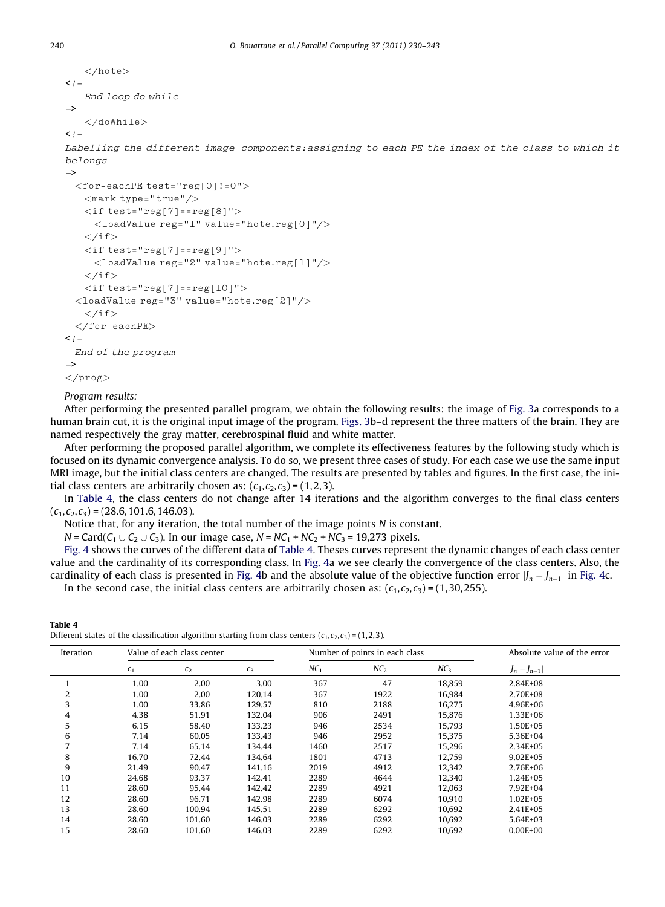```
</hote>
\langle ! -End loop do while
–>
    </doWhile>
```
 $\lt$   $\prime$   $-$ 

Labelling the different image components:assigning to each PE the index of the class to which it belongs

–>

```
<for-eachPE test="reg[0]!=0">
   <mark type="true"/>
   \langleif test="reg[7]==reg[8]">
     <loadValue reg="1" value="hote.reg[0]"/>
   \langle /if>
   \langleif test="reg[7]==reg[9]">
     <loadValue reg="2" value="hote.reg[1]"/>
   \langleif>
   \langleif test="reg[7]==reg[10]">
  <loadValue reg="3" value="hote.reg[2]"/>
   \langleif>
  </for-eachPE>
\langle ! –
 End of the program
–>
</prog>
```
Program results:

After performing the presented parallel program, we obtain the following results: the image of [Fig. 3](#page-8-0)a corresponds to a human brain cut, it is the original input image of the program. [Figs. 3](#page-8-0)b–d represent the three matters of the brain. They are named respectively the gray matter, cerebrospinal fluid and white matter.

After performing the proposed parallel algorithm, we complete its effectiveness features by the following study which is focused on its dynamic convergence analysis. To do so, we present three cases of study. For each case we use the same input MRI image, but the initial class centers are changed. The results are presented by tables and figures. In the first case, the initial class centers are arbitrarily chosen as:  $(c_1, c_2, c_3) = (1, 2, 3)$ .

In Table 4, the class centers do not change after 14 iterations and the algorithm converges to the final class centers  $(c_1, c_2, c_3) = (28.6, 101.6, 146.03).$ 

Notice that, for any iteration, the total number of the image points  $N$  is constant.

 $N = \text{Card}(C_1 \cup C_2 \cup C_3)$ . In our image case,  $N = NC_1 + NC_2 + NC_3 = 19,273$  pixels.

[Fig. 4](#page-11-0) shows the curves of the different data of Table 4. Theses curves represent the dynamic changes of each class center value and the cardinality of its corresponding class. In [Fig. 4a](#page-11-0) we see clearly the convergence of the class centers. Also, the cardinality of each class is presented in [Fig. 4](#page-11-0)b and the absolute value of the objective function error  $|J_n - J_{n-1}|$  in [Fig. 4c](#page-11-0). In the second case, the initial class centers are arbitrarily chosen as:  $(c_1, c_2, c_3) = (1, 30, 255)$ .

| Table 4                                                                                                    |  |
|------------------------------------------------------------------------------------------------------------|--|
| Different states of the classification algorithm starting from class centers $(c_1, c_2, c_3) = (1,2,3)$ . |  |

| Iteration | Value of each class center |                |        |                 | Number of points in each class | Absolute value of the error |                 |
|-----------|----------------------------|----------------|--------|-----------------|--------------------------------|-----------------------------|-----------------|
|           | c <sub>1</sub>             | c <sub>2</sub> | $C_3$  | NC <sub>1</sub> | NC <sub>2</sub>                | NC <sub>3</sub>             | $ J_n-J_{n-1} $ |
|           | 1.00                       | 2.00           | 3.00   | 367             | 47                             | 18,859                      | 2.84E+08        |
| 2         | 1.00                       | 2.00           | 120.14 | 367             | 1922                           | 16,984                      | 2.70E+08        |
| 3         | 1.00                       | 33.86          | 129.57 | 810             | 2188                           | 16,275                      | 4.96E+06        |
| 4         | 4.38                       | 51.91          | 132.04 | 906             | 2491                           | 15,876                      | 1.33E+06        |
| 5         | 6.15                       | 58.40          | 133.23 | 946             | 2534                           | 15,793                      | 1.50E+05        |
| 6         | 7.14                       | 60.05          | 133.43 | 946             | 2952                           | 15,375                      | 5.36E+04        |
| 7         | 7.14                       | 65.14          | 134.44 | 1460            | 2517                           | 15,296                      | 2.34E+05        |
| 8         | 16.70                      | 72.44          | 134.64 | 1801            | 4713                           | 12.759                      | $9.02E + 05$    |
| 9         | 21.49                      | 90.47          | 141.16 | 2019            | 4912                           | 12,342                      | 2.76E+06        |
| 10        | 24.68                      | 93.37          | 142.41 | 2289            | 4644                           | 12,340                      | 1.24E+05        |
| 11        | 28.60                      | 95.44          | 142.42 | 2289            | 4921                           | 12.063                      | 7.92E+04        |
| 12        | 28.60                      | 96.71          | 142.98 | 2289            | 6074                           | 10,910                      | 1.02E+05        |
| 13        | 28.60                      | 100.94         | 145.51 | 2289            | 6292                           | 10,692                      | 2.41E+05        |
| 14        | 28.60                      | 101.60         | 146.03 | 2289            | 6292                           | 10.692                      | 5.64E+03        |
| 15        | 28.60                      | 101.60         | 146.03 | 2289            | 6292                           | 10,692                      | $0.00E + 00$    |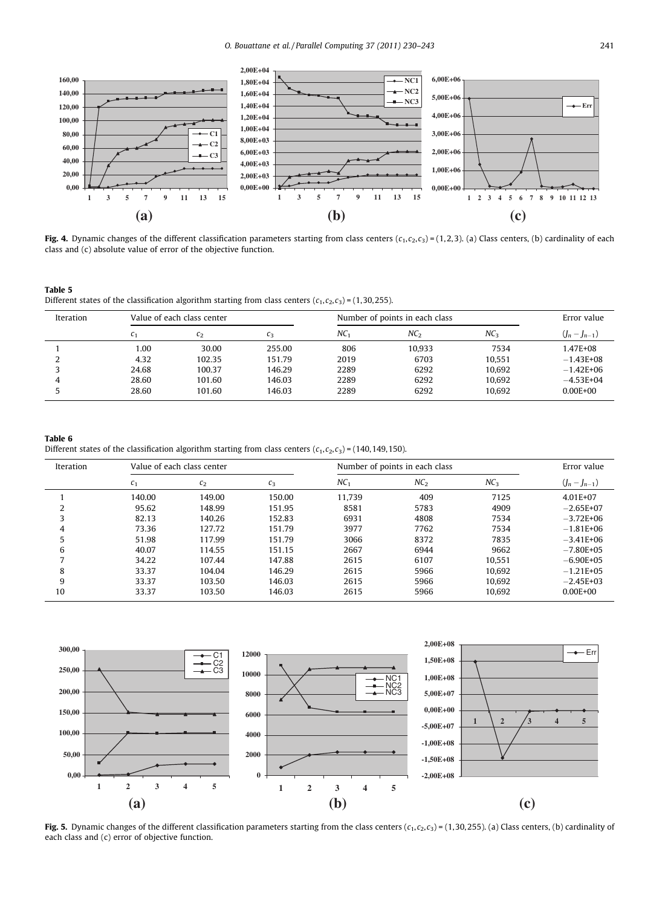<span id="page-11-0"></span>

Fig. 4. Dynamic changes of the different classification parameters starting from class centers  $(c_1, c_2, c_3) = (1, 2, 3)$ . (a) Class centers, (b) cardinality of each class and (c) absolute value of error of the objective function.

Table 5 Different states of the classification algorithm starting from class centers  $(c_1, c_2, c_3) = (1, 30, 255)$ .

| Iteration |       | Value of each class center |        |                 | Number of points in each class |                 |                   |
|-----------|-------|----------------------------|--------|-----------------|--------------------------------|-----------------|-------------------|
|           |       | C <sub>2</sub>             | $C_3$  | NC <sub>1</sub> | NC <sub>2</sub>                | NC <sub>3</sub> | $(J_n - J_{n-1})$ |
|           | 1.00  | 30.00                      | 255.00 | 806             | 10.933                         | 7534            | 1.47E+08          |
|           | 4.32  | 102.35                     | 151.79 | 2019            | 6703                           | 10.551          | $-1.43E+08$       |
|           | 24.68 | 100.37                     | 146.29 | 2289            | 6292                           | 10.692          | $-1.42E+06$       |
|           | 28.60 | 101.60                     | 146.03 | 2289            | 6292                           | 10.692          | $-4.53E+04$       |
|           | 28.60 | 101.60                     | 146.03 | 2289            | 6292                           | 10.692          | $0.00E + 00$      |

Different states of the classification algorithm starting from class centers  $(c_1, c_2, c_3) = (140, 149, 150)$ .

| Iteration | Value of each class center |                |        | Number of points in each class |                 |                 | Error value       |  |
|-----------|----------------------------|----------------|--------|--------------------------------|-----------------|-----------------|-------------------|--|
|           | c <sub>1</sub>             | c <sub>2</sub> | $c_3$  | NC <sub>1</sub>                | NC <sub>2</sub> | NC <sub>3</sub> | $(J_n - J_{n-1})$ |  |
|           | 140.00                     | 149.00         | 150.00 | 11.739                         | 409             | 7125            | 4.01E+07          |  |
|           | 95.62                      | 148.99         | 151.95 | 8581                           | 5783            | 4909            | $-2.65E+07$       |  |
|           | 82.13                      | 140.26         | 152.83 | 6931                           | 4808            | 7534            | $-3.72E+06$       |  |
| 4         | 73.36                      | 127.72         | 151.79 | 3977                           | 7762            | 7534            | $-1.81E+06$       |  |
|           | 51.98                      | 117.99         | 151.79 | 3066                           | 8372            | 7835            | $-3.41E+06$       |  |
| 6         | 40.07                      | 114.55         | 151.15 | 2667                           | 6944            | 9662            | $-7.80E + 0.5$    |  |
|           | 34.22                      | 107.44         | 147.88 | 2615                           | 6107            | 10.551          | $-6.90E+0.5$      |  |
| 8         | 33.37                      | 104.04         | 146.29 | 2615                           | 5966            | 10.692          | $-1.21E+0.5$      |  |
| 9         | 33.37                      | 103.50         | 146.03 | 2615                           | 5966            | 10.692          | $-2.45E+03$       |  |
| 10        | 33.37                      | 103.50         | 146.03 | 2615                           | 5966            | 10.692          | $0.00E + 00$      |  |



Fig. 5. Dynamic changes of the different classification parameters starting from the class centers ( $c_1$ ,  $c_2$ ,  $c_3$ ) = (1, 30, 255). (a) Class centers, (b) cardinality of each class and (c) error of objective function.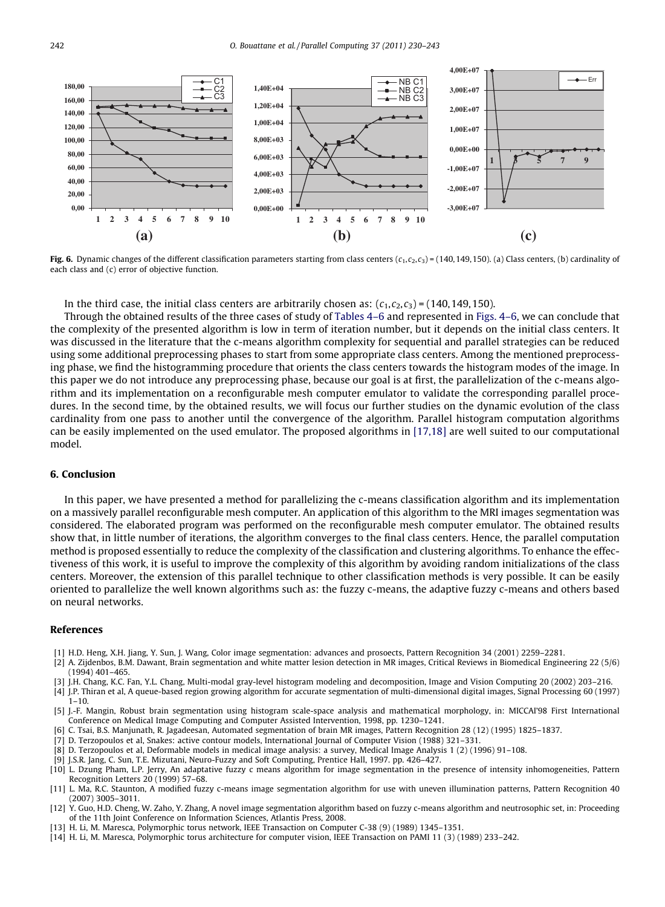<span id="page-12-0"></span>

Fig. 6. Dynamic changes of the different classification parameters starting from class centers  $(c_1, c_2, c_3) = (140, 149, 150)$ . (a) Class centers, (b) cardinality of each class and (c) error of objective function.

In the third case, the initial class centers are arbitrarily chosen as:  $(c_1, c_2, c_3) = (140, 149, 150)$ .

Through the obtained results of the three cases of study of [Tables 4–6](#page-10-0) and represented in [Figs. 4–6](#page-11-0), we can conclude that the complexity of the presented algorithm is low in term of iteration number, but it depends on the initial class centers. It was discussed in the literature that the c-means algorithm complexity for sequential and parallel strategies can be reduced using some additional preprocessing phases to start from some appropriate class centers. Among the mentioned preprocessing phase, we find the histogramming procedure that orients the class centers towards the histogram modes of the image. In this paper we do not introduce any preprocessing phase, because our goal is at first, the parallelization of the c-means algorithm and its implementation on a reconfigurable mesh computer emulator to validate the corresponding parallel procedures. In the second time, by the obtained results, we will focus our further studies on the dynamic evolution of the class cardinality from one pass to another until the convergence of the algorithm. Parallel histogram computation algorithms can be easily implemented on the used emulator. The proposed algorithms in [\[17,18\]](#page-13-0) are well suited to our computational model.

#### 6. Conclusion

In this paper, we have presented a method for parallelizing the c-means classification algorithm and its implementation on a massively parallel reconfigurable mesh computer. An application of this algorithm to the MRI images segmentation was considered. The elaborated program was performed on the reconfigurable mesh computer emulator. The obtained results show that, in little number of iterations, the algorithm converges to the final class centers. Hence, the parallel computation method is proposed essentially to reduce the complexity of the classification and clustering algorithms. To enhance the effectiveness of this work, it is useful to improve the complexity of this algorithm by avoiding random initializations of the class centers. Moreover, the extension of this parallel technique to other classification methods is very possible. It can be easily oriented to parallelize the well known algorithms such as: the fuzzy c-means, the adaptive fuzzy c-means and others based on neural networks.

## References

- [1] H.D. Heng, X.H. Jiang, Y. Sun, J. Wang, Color image segmentation: advances and prosoects, Pattern Recognition 34 (2001) 2259–2281.
- [2] A. Zijdenbos, B.M. Dawant, Brain segmentation and white matter lesion detection in MR images, Critical Reviews in Biomedical Engineering 22 (5/6) (1994) 401–465.
- [3] J.H. Chang, K.C. Fan, Y.L. Chang, Multi-modal gray-level histogram modeling and decomposition, Image and Vision Computing 20 (2002) 203–216.
- [4] J.P. Thiran et al, A queue-based region growing algorithm for accurate segmentation of multi-dimensional digital images, Signal Processing 60 (1997)  $1 - 10.$
- [5] J.-F. Mangin, Robust brain segmentation using histogram scale-space analysis and mathematical morphology, in: MICCAI'98 First International Conference on Medical Image Computing and Computer Assisted Intervention, 1998, pp. 1230–1241.
- [6] C. Tsai, B.S. Manjunath, R. Jagadeesan, Automated segmentation of brain MR images, Pattern Recognition 28 (12) (1995) 1825–1837.
- [7] D. Terzopoulos et al, Snakes: active contour models, International Journal of Computer Vision (1988) 321–331.
- [8] D. Terzopoulos et al, Deformable models in medical image analysis: a survey, Medical Image Analysis 1 (2) (1996) 91–108.
- [9] J.S.R. Jang, C. Sun, T.E. Mizutani, Neuro-Fuzzy and Soft Computing, Prentice Hall, 1997. pp. 426–427.
- [10] L. Dzung Pham, L.P. Jerry, An adaptative fuzzy c means algorithm for image segmentation in the presence of intensity inhomogeneities, Pattern Recognition Letters 20 (1999) 57–68.
- [11] L. Ma, R.C. Staunton, A modified fuzzy c-means image segmentation algorithm for use with uneven illumination patterns, Pattern Recognition 40 (2007) 3005–3011.
- [12] Y. Guo, H.D. Cheng, W. Zaho, Y. Zhang, A novel image segmentation algorithm based on fuzzy c-means algorithm and neutrosophic set, in: Proceeding of the 11th Joint Conference on Information Sciences, Atlantis Press, 2008.
- [13] H. Li, M. Maresca, Polymorphic torus network, IEEE Transaction on Computer C-38 (9) (1989) 1345–1351.
- [14] H. Li, M. Maresca, Polymorphic torus architecture for computer vision, IEEE Transaction on PAMI 11 (3) (1989) 233–242.